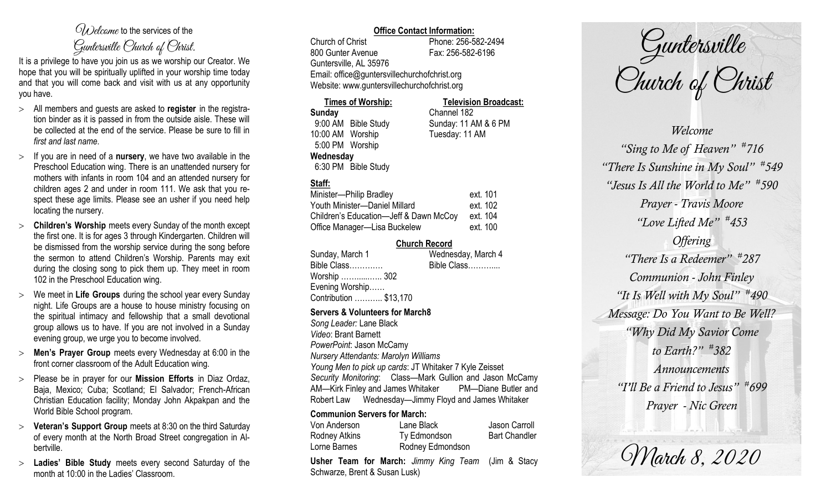# $\mathcal{O}_{\lambda}$  decame to the services of the Guntersville Church of Christ.

It is a privilege to have you join us as we worship our Creator. We hope that you will be spiritually uplifted in your worship time today and that you will come back and visit with us at any opportunity you have.

- All members and guests are asked to **register** in the registration binder as it is passed in from the outside aisle. These will be collected at the end of the service. Please be sure to fill in *first and last name*.
- $>$  If you are in need of a **nursery**, we have two available in the Preschool Education wing. There is an unattended nursery for mothers with infants in room 104 and an attended nursery for children ages 2 and under in room 111. We ask that you respect these age limits. Please see an usher if you need help locating the nursery.
- **Children's Worship** meets every Sunday of the month except the first one. It is for ages 3 through Kindergarten. Children will be dismissed from the worship service during the song before the sermon to attend Children's Worship. Parents may exit during the closing song to pick them up. They meet in room 102 in the Preschool Education wing.
- We meet in **Life Groups** during the school year every Sunday night. Life Groups are a house to house ministry focusing on the spiritual intimacy and fellowship that a small devotional group allows us to have. If you are not involved in a Sunday evening group, we urge you to become involved.
- **Men's Prayer Group** meets every Wednesday at 6:00 in the front corner classroom of the Adult Education wing.
- Please be in prayer for our **Mission Efforts** in Diaz Ordaz, Baja, Mexico; Cuba; Scotland; El Salvador; French-African Christian Education facility; Monday John Akpakpan and the World Bible School program.
- **Veteran's Support Group** meets at 8:30 on the third Saturday of every month at the North Broad Street congregation in Albertville.
- **Ladies' Bible Study** meets every second Saturday of the month at 10:00 in the Ladies' Classroom.

## **Office Contact Information:**

Church of Christ Phone: 256-582-2494 800 Gunter Avenue Fax: 256-582-6196 Guntersville, AL 35976 Email: office@guntersvillechurchofchrist.org Website: www.guntersvillechurchofchrist.org

**Times of Worship: Television Broadcast: Sunday** Channel 182 9:00 AM Bible Study Sunday: 11 AM & 6 PM 10:00 AM Worship Tuesday: 11 AM 5:00 PM Worship **Wednesday** 6:30 PM Bible Study

# **Staff:**

| Minister-Philip Bradley                | ext. 101 |
|----------------------------------------|----------|
| Youth Minister-Daniel Millard          | ext. 102 |
| Children's Education-Jeff & Dawn McCoy | ext. 104 |
| Office Manager-Lisa Buckelew           | ext. 100 |

## **Church Record**

|                        | Wednesday, March 4 |
|------------------------|--------------------|
| Bible Class            | Bible Class        |
| Worship …… 302         |                    |
| Evening Worship        |                    |
| Contribution  \$13,170 |                    |
|                        |                    |

### **Servers & Volunteers for March8**

*Song Leader:* Lane Black *Video*: Brant Barnett *PowerPoint*: Jason McCamy *Nursery Attendants: Marolyn Williams Young Men to pick up cards*: JT Whitaker 7 Kyle Zeisset *Security Monitoring*: Class—Mark Gullion and Jason McCamy AM—Kirk Finley and James Whitaker PM—Diane Butler and Robert Law Wednesday—Jimmy Floyd and James Whitaker

## **Communion Servers for March:**

| Von Anderson  | Lane Black       | Jason Carroll        |
|---------------|------------------|----------------------|
| Rodney Atkins | Ty Edmondson     | <b>Bart Chandler</b> |
| Lorne Barnes  | Rodney Edmondson |                      |

**Usher Team for March:** *Jimmy King Team* (Jim & Stacy Schwarze, Brent & Susan Lusk)

Guntersville<br>Church of Christ

*Welcome "Sing to Me of Heaven" # 716 "There Is Sunshine in My Soul" # 549 "Jesus Is All the World to Me" # 590 Prayer - Travis Moore "Love Lifted Me" # 453 Offering "There Is a Redeemer" # 287 Communion - John Finley "It Is Well with My Soul" # 490 Message: Do You Want to Be Well? "Why Did My Savior Come to Earth?" # 382 Announcements "I'll Be a Friend to Jesus" # 699 Prayer - Nic Green*

Warch 8, 2020